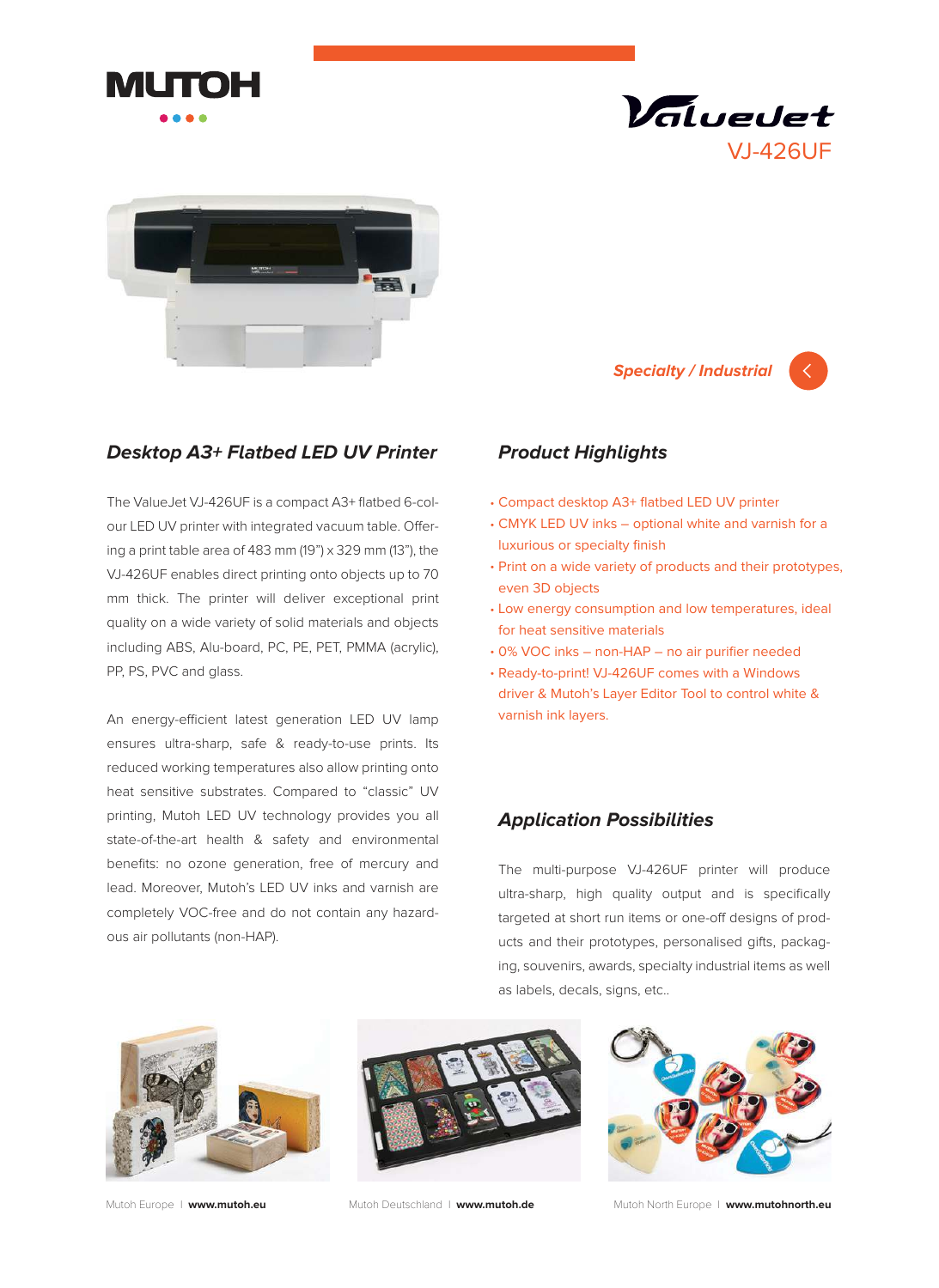





## **Desktop A3+ Flatbed LED UV Printer**

The ValueJet VJ-426UF is a compact A3+ flatbed 6-colour LED UV printer with integrated vacuum table. Offering a print table area of 483 mm (19") x 329 mm (13"), the VJ-426UF enables direct printing onto objects up to 70 mm thick. The printer will deliver exceptional print quality on a wide variety of solid materials and objects including ABS, Alu-board, PC, PE, PET, PMMA (acrylic), PP, PS, PVC and glass.

An energy-efficient latest generation LED UV lamp ensures ultra-sharp, safe & ready-to-use prints. Its reduced working temperatures also allow printing onto heat sensitive substrates. Compared to "classic" UV printing, Mutoh LED UV technology provides you all state-of-the-art health & safety and environmental benefits: no ozone generation, free of mercury and lead. Moreover, Mutoh's LED UV inks and varnish are completely VOC-free and do not contain any hazardous air pollutants (non-HAP).

# **Product Highlights**

- Compact desktop A3+ flatbed LED UV printer •
- CMYK LED UV inks optional white and varnish for a luxurious or specialty finish

**Specialty / Industrial**

- Print on a wide variety of products and their prototypes, even 3D objects
- Low energy consumption and low temperatures, ideal for heat sensitive materials
- 0% VOC inks non-HAP no air purifier needed •
- Ready-to-print! VJ-426UF comes with a Windows •driver & Mutoh's Layer Editor Tool to control white & varnish ink layers.

### **Application Possibilities**

The multi-purpose VJ-426UF printer will produce ultra-sharp, high quality output and is specifically targeted at short run items or one-off designs of products and their prototypes, personalised gifts, packaging, souvenirs, awards, specialty industrial items as well as labels, decals, signs, etc..







Mutoh Europe I **www.mutoh.eu** Mutoh Deutschland I **www.mutoh.de** Mutoh North Europe I **www.mutohnorth.eu**